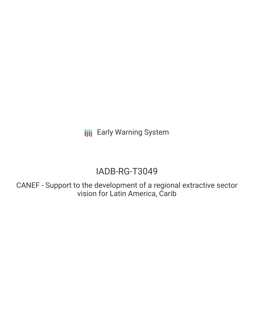**III** Early Warning System

# IADB-RG-T3049

CANEF - Support to the development of a regional extractive sector vision for Latin America, Carib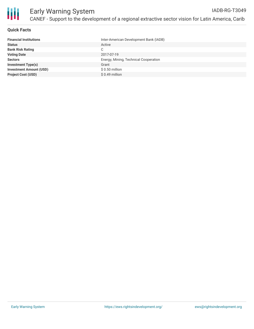

## **Quick Facts**

| <b>Financial Institutions</b>  | Inter-American Development Bank (IADB) |
|--------------------------------|----------------------------------------|
| <b>Status</b>                  | Active                                 |
| <b>Bank Risk Rating</b>        | C.                                     |
| <b>Voting Date</b>             | 2017-07-19                             |
| <b>Sectors</b>                 | Energy, Mining, Technical Cooperation  |
| <b>Investment Type(s)</b>      | Grant                                  |
| <b>Investment Amount (USD)</b> | $$0.50$ million                        |
| <b>Project Cost (USD)</b>      | $$0.49$ million                        |
|                                |                                        |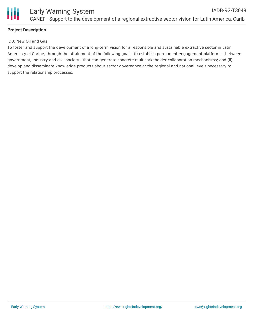

### **Project Description**

#### IDB: New Oil and Gas

To foster and support the development of a long-term vision for a responsible and sustainable extractive sector in Latin America y el Caribe, through the attainment of the following goals: (i) establish permanent engagement platforms - between government, industry and civil society - that can generate concrete multistakeholder collaboration mechanisms; and (ii) develop and disseminate knowledge products about sector governance at the regional and national levels necessary to support the relationship processes.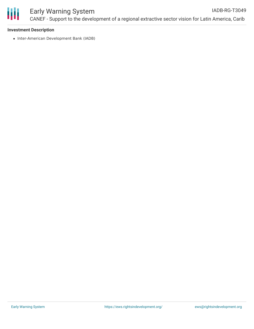

#### Early Warning System CANEF - Support to the development of a regional extractive sector vision for Latin America, Carib IADB-RG-T3049

#### **Investment Description**

• Inter-American Development Bank (IADB)